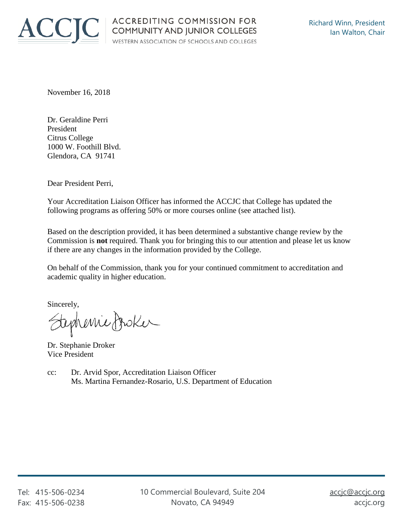

November 16, 2018

Dr. Geraldine Perri President Citrus College 1000 W. Foothill Blvd. Glendora, CA 91741

Dear President Perri,

Your Accreditation Liaison Officer has informed the ACCJC that College has updated the following programs as offering 50% or more courses online (see attached list).

Based on the description provided, it has been determined a substantive change review by the Commission is **not** required. Thank you for bringing this to our attention and please let us know if there are any changes in the information provided by the College.

On behalf of the Commission, thank you for your continued commitment to accreditation and academic quality in higher education.

Sincerely,

tephenic froker

Dr. Stephanie Droker Vice President

cc: Dr. Arvid Spor, Accreditation Liaison Officer Ms. Martina Fernandez-Rosario, U.S. Department of Education